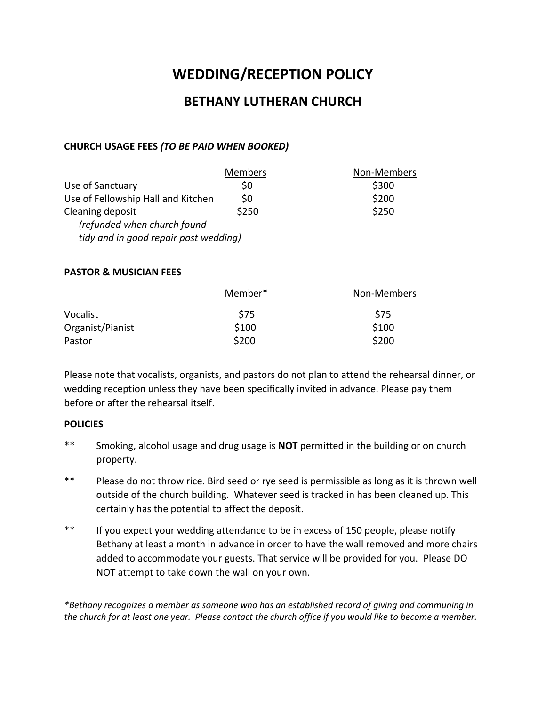# **WEDDING/RECEPTION POLICY**

# **BETHANY LUTHERAN CHURCH**

# **CHURCH USAGE FEES** *(TO BE PAID WHEN BOOKED)*

|                                       | <b>Members</b> | Non-Members |
|---------------------------------------|----------------|-------------|
| Use of Sanctuary                      | \$0            | \$300       |
| Use of Fellowship Hall and Kitchen    | \$0            | \$200       |
| Cleaning deposit                      | \$250          | \$250       |
| (refunded when church found           |                |             |
| tidy and in good repair post wedding) |                |             |
|                                       |                |             |

#### **PASTOR & MUSICIAN FEES**

|                  | Member* | Non-Members |
|------------------|---------|-------------|
| Vocalist         | S75     | \$75        |
| Organist/Pianist | \$100   | \$100       |
| Pastor           | \$200   | \$200       |

Please note that vocalists, organists, and pastors do not plan to attend the rehearsal dinner, or wedding reception unless they have been specifically invited in advance. Please pay them before or after the rehearsal itself.

## **POLICIES**

- \*\* Smoking, alcohol usage and drug usage is **NOT** permitted in the building or on church property.
- \*\* Please do not throw rice. Bird seed or rye seed is permissible as long as it is thrown well outside of the church building. Whatever seed is tracked in has been cleaned up. This certainly has the potential to affect the deposit.
- \*\* If you expect your wedding attendance to be in excess of 150 people, please notify Bethany at least a month in advance in order to have the wall removed and more chairs added to accommodate your guests. That service will be provided for you. Please DO NOT attempt to take down the wall on your own.

*\*Bethany recognizes a member as someone who has an established record of giving and communing in the church for at least one year. Please contact the church office if you would like to become a member.*